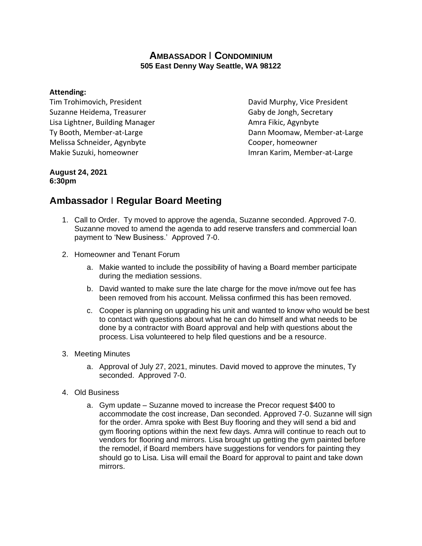## **AMBASSADOR** I **CONDOMINIUM 505 East Denny Way Seattle, WA 98122**

### **Attending:**

Tim Trohimovich, President **David Murphy, Vice President** Suzanne Heidema, Treasurer Gaby de Jongh, Secretary Lisa Lightner, Building Manager **Amra Fikic, Agynbyte** Amra Fikic, Agynbyte Melissa Schneider, Agynbyte Cooper, homeowner Makie Suzuki, homeowner **Imran Karim, Member-at-Large** 

Ty Booth, Member-at-Large Ty Booth, Member-at-Large Dann Moomaw, Member-at-Large

#### **August 24, 2021 6:30pm**

# **Ambassador** I **Regular Board Meeting**

- 1. Call to Order. Ty moved to approve the agenda, Suzanne seconded. Approved 7-0. Suzanne moved to amend the agenda to add reserve transfers and commercial loan payment to 'New Business.' Approved 7-0.
- 2. Homeowner and Tenant Forum
	- a. Makie wanted to include the possibility of having a Board member participate during the mediation sessions.
	- b. David wanted to make sure the late charge for the move in/move out fee has been removed from his account. Melissa confirmed this has been removed.
	- c. Cooper is planning on upgrading his unit and wanted to know who would be best to contact with questions about what he can do himself and what needs to be done by a contractor with Board approval and help with questions about the process. Lisa volunteered to help filed questions and be a resource.

#### 3. Meeting Minutes

- a. Approval of July 27, 2021, minutes. David moved to approve the minutes, Ty seconded. Approved 7-0.
- 4. Old Business
	- a. Gym update Suzanne moved to increase the Precor request \$400 to accommodate the cost increase, Dan seconded. Approved 7-0. Suzanne will sign for the order. Amra spoke with Best Buy flooring and they will send a bid and gym flooring options within the next few days. Amra will continue to reach out to vendors for flooring and mirrors. Lisa brought up getting the gym painted before the remodel, if Board members have suggestions for vendors for painting they should go to Lisa. Lisa will email the Board for approval to paint and take down mirrors.